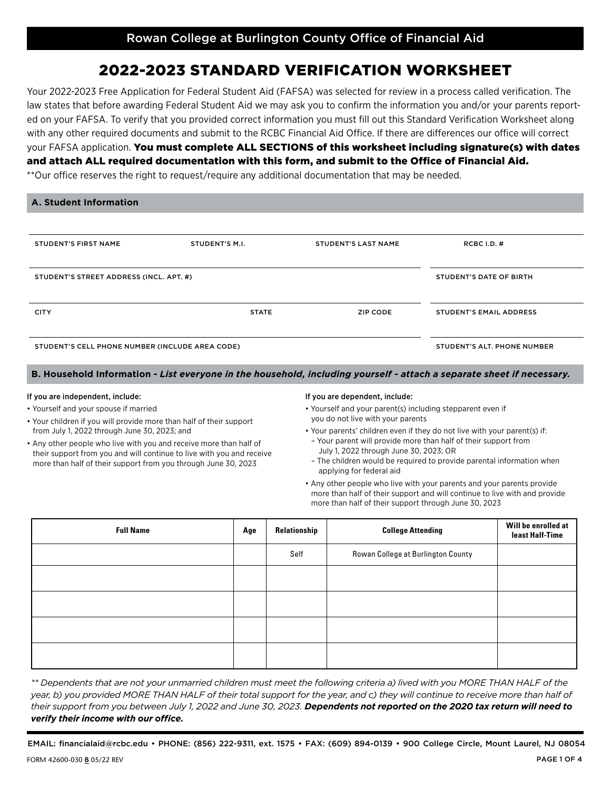# 2022-2023 STANDARD VERIFICATION WORKSHEET

Your 2022-2023 Free Application for Federal Student Aid (FAFSA) was selected for review in a process called verification. The law states that before awarding Federal Student Aid we may ask you to confirm the information you and/or your parents reported on your FAFSA. To verify that you provided correct information you must fill out this Standard Verification Worksheet along with any other required documents and submit to the RCBC Financial Aid Office. If there are differences our office will correct your FAFSA application. You must complete ALL SECTIONS of this worksheet including signature(s) with dates and attach ALL required documentation with this form, and submit to the Office of Financial Aid. \*\*Our office reserves the right to request/require any additional documentation that may be needed.

| A. Student Information                          |                |                            |                                |  |  |
|-------------------------------------------------|----------------|----------------------------|--------------------------------|--|--|
|                                                 |                |                            |                                |  |  |
| <b>STUDENT'S FIRST NAME</b>                     | STUDENT'S M.I. | <b>STUDENT'S LAST NAME</b> | RCBC $I.D.$ #                  |  |  |
|                                                 |                |                            |                                |  |  |
| STUDENT'S STREET ADDRESS (INCL. APT. #)         |                |                            | <b>STUDENT'S DATE OF BIRTH</b> |  |  |
|                                                 |                |                            |                                |  |  |
| <b>CITY</b>                                     | <b>STATE</b>   | <b>ZIP CODE</b>            | <b>STUDENT'S EMAIL ADDRESS</b> |  |  |
|                                                 |                |                            |                                |  |  |
| STUDENT'S CELL PHONE NUMBER (INCLUDE AREA CODE) |                |                            | STUDENT'S ALT. PHONE NUMBER    |  |  |
|                                                 |                |                            |                                |  |  |

**B. Household Information -** *List everyone in the household, including yourself - attach a separate sheet if necessary.*

#### If you are independent, include:

• Yourself and your spouse if married

- Your children if you will provide more than half of their support from July 1, 2022 through June 30, 2023; and
- Any other people who live with you and receive more than half of their support from you and will continue to live with you and receive more than half of their support from you through June 30, 2023

#### If you are dependent, include:

applying for federal aid

- Yourself and your parent(s) including stepparent even if you do not live with your parents
- Your parents' children even if they do not live with your parent(s) if: – Your parent will provide more than half of their support from
- July 1, 2022 through June 30, 2023; OR – The children would be required to provide parental information when
- Any other people who live with your parents and your parents provide more than half of their support and will continue to live with and provide more than half of their support through June 30, 2023

| <b>Full Name</b> | Age | Relationship | <b>College Attending</b>           | Will be enrolled at<br>least Half-Time |
|------------------|-----|--------------|------------------------------------|----------------------------------------|
|                  |     | Self         | Rowan College at Burlington County |                                        |
|                  |     |              |                                    |                                        |
|                  |     |              |                                    |                                        |
|                  |     |              |                                    |                                        |
|                  |     |              |                                    |                                        |

*\*\* Dependents that are not your unmarried children must meet the following criteria a) lived with you MORE THAN HALF of the year, b) you provided MORE THAN HALF of their total support for the year, and c) they will continue to receive more than half of their support from you between July 1, 2022 and June 30, 2023. Dependents not reported on the 2020 tax return will need to verify their income with our office.*

EMAIL: financialaid@rcbc.edu • PHONE: (856) 222-9311, ext. 1575 • FAX: (609) 894-0139 • 900 College Circle, Mount Laurel, NJ 08054 FORM 42600-030 B 05/22 REV PAGE 1 OF 4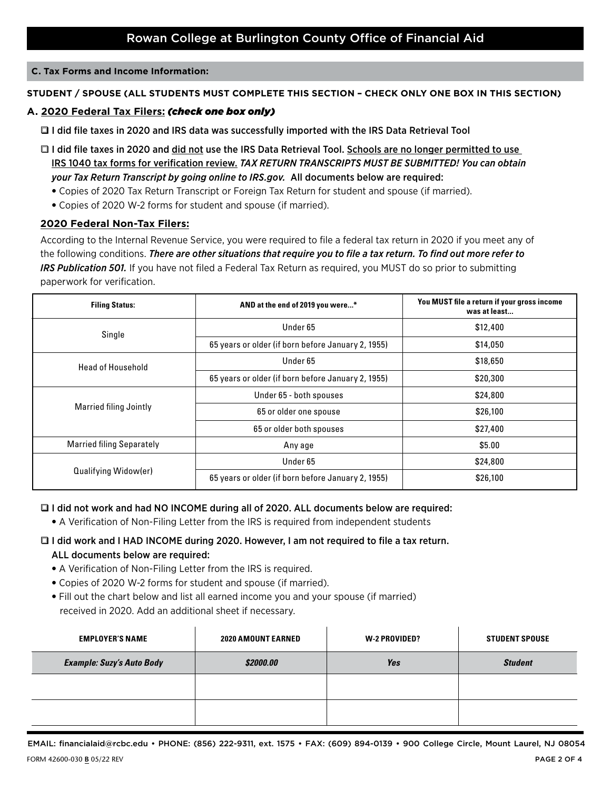## **C. Tax Forms and Income Information:**

## **STUDENT / SPOUSE (ALL STUDENTS MUST COMPLETE THIS SECTION – CHECK ONLY ONE BOX IN THIS SECTION)**

## **A. 2020 Federal Tax Filers:** *(check one box only)*

- I did file taxes in 2020 and IRS data was successfully imported with the IRS Data Retrieval Tool
- □ I did file taxes in 2020 and did not use the IRS Data Retrieval Tool. Schools are no longer permitted to use IRS 1040 tax forms for verification review. *TAX RETURN TRANSCRIPTS MUST BE SUBMITTED! You can obtain your Tax Return Transcript by going online to IRS.gov.* All documents below are required:
	- Copies of 2020 Tax Return Transcript or Foreign Tax Return for student and spouse (if married).
	- Copies of 2020 W-2 forms for student and spouse (if married).

## **2020 Federal Non-Tax Filers:**

According to the Internal Revenue Service, you were required to file a federal tax return in 2020 if you meet any of the following conditions. *There are other situations that require you to file a tax return. To find out more refer to IRS Publication 501.* If you have not filed a Federal Tax Return as required, you MUST do so prior to submitting paperwork for verification.

| <b>Filing Status:</b>            | AND at the end of 2019 you were*                   | You MUST file a return if your gross income<br>was at least |
|----------------------------------|----------------------------------------------------|-------------------------------------------------------------|
| Single                           | Under 65                                           | \$12,400                                                    |
|                                  | 65 years or older (if born before January 2, 1955) | \$14,050                                                    |
| <b>Head of Household</b>         | Under 65                                           | \$18,650                                                    |
|                                  | 65 years or older (if born before January 2, 1955) | \$20,300                                                    |
| <b>Married filing Jointly</b>    | Under 65 - both spouses                            | \$24,800                                                    |
|                                  | 65 or older one spouse                             | \$26,100                                                    |
|                                  | 65 or older both spouses                           | \$27,400                                                    |
| <b>Married filing Separately</b> | Any age                                            | \$5.00                                                      |
|                                  | Under 65                                           | \$24,800                                                    |
| Qualifying Widow(er)             | 65 years or older (if born before January 2, 1955) | \$26,100                                                    |

## □ I did not work and had NO INCOME during all of 2020. ALL documents below are required:

• A Verification of Non-Filing Letter from the IRS is required from independent students

## □ I did work and I HAD INCOME during 2020. However, I am not required to file a tax return. ALL documents below are required:

- A Verification of Non-Filing Letter from the IRS is required.
- Copies of 2020 W-2 forms for student and spouse (if married).
- Fill out the chart below and list all earned income you and your spouse (if married) received in 2020. Add an additional sheet if necessary.

| <b>EMPLOYER'S NAME</b>           | <b>2020 AMOUNT EARNED</b> | W-2 PROVIDED? | <b>STUDENT SPOUSE</b> |
|----------------------------------|---------------------------|---------------|-----------------------|
| <b>Example: Suzy's Auto Body</b> | \$2000.00                 | Yes           | <b>Student</b>        |
|                                  |                           |               |                       |
|                                  |                           |               |                       |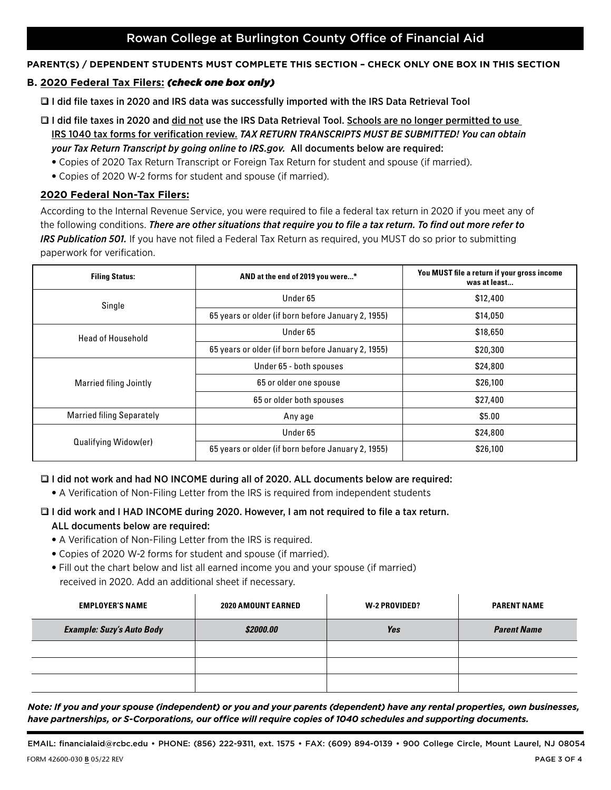## Rowan College at Burlington County Office of Financial Aid

## **PARENT(S) / DEPENDENT STUDENTS MUST COMPLETE THIS SECTION – CHECK ONLY ONE BOX IN THIS SECTION**

## **B. 2020 Federal Tax Filers:** *(check one box only)*

■ I did file taxes in 2020 and IRS data was successfully imported with the IRS Data Retrieval Tool

- □ I did file taxes in 2020 and did not use the IRS Data Retrieval Tool. Schools are no longer permitted to use IRS 1040 tax forms for verification review. *TAX RETURN TRANSCRIPTS MUST BE SUBMITTED! You can obtain your Tax Return Transcript by going online to IRS.gov.* All documents below are required:
	- Copies of 2020 Tax Return Transcript or Foreign Tax Return for student and spouse (if married).
	- Copies of 2020 W-2 forms for student and spouse (if married).

## **2020 Federal Non-Tax Filers:**

According to the Internal Revenue Service, you were required to file a federal tax return in 2020 if you meet any of the following conditions. *There are other situations that require you to file a tax return. To find out more refer to IRS Publication 501.* If you have not filed a Federal Tax Return as required, you MUST do so prior to submitting paperwork for verification.

| <b>Filing Status:</b>            | AND at the end of 2019 you were*                   | You MUST file a return if your gross income<br>was at least |
|----------------------------------|----------------------------------------------------|-------------------------------------------------------------|
| Single                           | Under 65                                           | \$12,400                                                    |
|                                  | 65 years or older (if born before January 2, 1955) | \$14,050                                                    |
| <b>Head of Household</b>         | Under 65                                           | \$18,650                                                    |
|                                  | 65 years or older (if born before January 2, 1955) | \$20,300                                                    |
| <b>Married filing Jointly</b>    | Under 65 - both spouses                            | \$24,800                                                    |
|                                  | 65 or older one spouse                             | \$26,100                                                    |
|                                  | 65 or older both spouses                           | \$27,400                                                    |
| <b>Married filing Separately</b> | Any age                                            | \$5.00                                                      |
| Qualifying Widow(er)             | Under 65                                           | \$24,800                                                    |
|                                  | 65 years or older (if born before January 2, 1955) | \$26,100                                                    |

## □ I did not work and had NO INCOME during all of 2020. ALL documents below are required:

• A Verification of Non-Filing Letter from the IRS is required from independent students

## □ I did work and I HAD INCOME during 2020. However, I am not required to file a tax return. ALL documents below are required:

- A Verification of Non-Filing Letter from the IRS is required.
- Copies of 2020 W-2 forms for student and spouse (if married).
- Fill out the chart below and list all earned income you and your spouse (if married) received in 2020. Add an additional sheet if necessary.

| <b>EMPLOYER'S NAME</b>           | 2020 AMOUNT EARNED | W-2 PROVIDED? | <b>PARENT NAME</b> |
|----------------------------------|--------------------|---------------|--------------------|
| <b>Example: Suzy's Auto Body</b> | \$2000.00          | <b>Yes</b>    | <b>Parent Name</b> |
|                                  |                    |               |                    |
|                                  |                    |               |                    |
|                                  |                    |               |                    |

*Note: If you and your spouse (independent) or you and your parents (dependent) have any rental properties, own businesses, have partnerships, or S-Corporations, our office will require copies of 1040 schedules and supporting documents.*